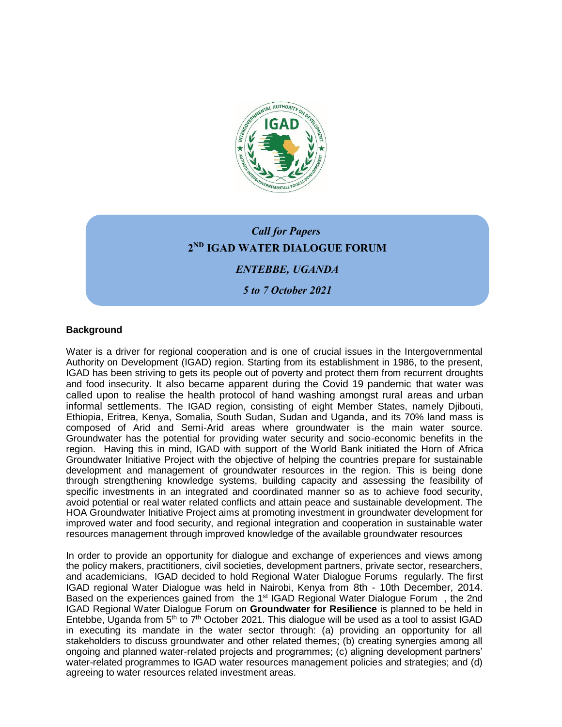

# *s Call for Papers*  **2 ND IGAD WATER DIALOGUE FORUM**  *ENTEBBE, UGANDA*

*5 to 7 October 2021*

## **Background**

Water is a driver for regional cooperation and is one of crucial issues in the Intergovernmental Authority on Development (IGAD) region. Starting from its establishment in 1986, to the present, IGAD has been striving to gets its people out of poverty and protect them from recurrent droughts and food insecurity. It also became apparent during the Covid 19 pandemic that water was called upon to realise the health protocol of hand washing amongst rural areas and urban informal settlements. The IGAD region, consisting of eight Member States, namely Djibouti, Ethiopia, Eritrea, Kenya, Somalia, South Sudan, Sudan and Uganda, and its 70% land mass is composed of Arid and Semi-Arid areas where groundwater is the main water source. Groundwater has the potential for providing water security and socio-economic benefits in the region. Having this in mind, IGAD with support of the World Bank initiated the Horn of Africa Groundwater Initiative Project with the objective of helping the countries prepare for sustainable development and management of groundwater resources in the region. This is being done through strengthening knowledge systems, building capacity and assessing the feasibility of specific investments in an integrated and coordinated manner so as to achieve food security, avoid potential or real water related conflicts and attain peace and sustainable development. The HOA Groundwater Initiative Project aims at promoting investment in groundwater development for improved water and food security, and regional integration and cooperation in sustainable water resources management through improved knowledge of the available groundwater resources

In order to provide an opportunity for dialogue and exchange of experiences and views among the policy makers, practitioners, civil societies, development partners, private sector, researchers, and academicians, IGAD decided to hold Regional Water Dialogue Forums regularly. The first IGAD regional Water Dialogue was held in Nairobi, Kenya from 8th - 10th December, 2014. Based on the experiences gained from the 1st IGAD Regional Water Dialogue Forum , the 2nd IGAD Regional Water Dialogue Forum on **Groundwater for Resilience** is planned to be held in Entebbe, Uganda from  $5<sup>th</sup>$  to  $7<sup>th</sup>$  October 2021. This dialogue will be used as a tool to assist IGAD in executing its mandate in the water sector through: (a) providing an opportunity for all stakeholders to discuss groundwater and other related themes; (b) creating synergies among all ongoing and planned water-related projects and programmes; (c) aligning development partners' water-related programmes to IGAD water resources management policies and strategies; and (d) agreeing to water resources related investment areas.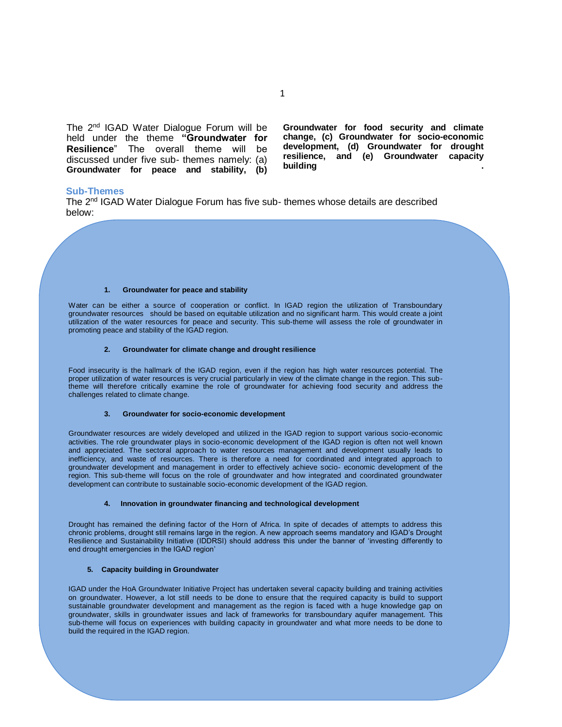The 2<sup>nd</sup> IGAD Water Dialogue Forum will be held under the theme **"Groundwater for Resilience**" The overall theme will be discussed under five sub- themes namely: (a) **Groundwater for peace and stability, (b)** 

**Groundwater for food security and climate change, (c) Groundwater for socio-economic development, (d) Groundwater for drought resilience, and (e) Groundwater capacity building .**

### **Sub-Themes**

The 2<sup>nd</sup> IGAD Water Dialogue Forum has five sub- themes whose details are described below:

#### **1. Groundwater for peace and stability**

Water can be either a source of cooperation or conflict. In IGAD region the utilization of Transboundary groundwater resources should be based on equitable utilization and no significant harm. This would create a joint utilization of the water resources for peace and security. This sub-theme will assess the role of groundwater in promoting peace and stability of the IGAD region.

#### **2. Groundwater for climate change and drought resilience**

Food insecurity is the hallmark of the IGAD region, even if the region has high water resources potential. The proper utilization of water resources is very crucial particularly in view of the climate change in the region. This subtheme will therefore critically examine the role of groundwater for achieving food security and address the challenges related to climate change.

#### **3. Groundwater for socio-economic development**

Groundwater resources are widely developed and utilized in the IGAD region to support various socio-economic activities. The role groundwater plays in socio-economic development of the IGAD region is often not well known and appreciated. The sectoral approach to water resources management and development usually leads to inefficiency, and waste of resources. There is therefore a need for coordinated and integrated approach to groundwater development and management in order to effectively achieve socio- economic development of the region. This sub-theme will focus on the role of groundwater and how integrated and coordinated groundwater development can contribute to sustainable socio-economic development of the IGAD region.

#### **4. Innovation in groundwater financing and technological development**

Drought has remained the defining factor of the Horn of Africa. In spite of decades of attempts to address this chronic problems, drought still remains large in the region. A new approach seems mandatory and IGAD's Drought Resilience and Sustainability Initiative (IDDRSI) should address this under the banner of 'investing differently to end drought emergencies in the IGAD region'

### **5. Capacity building in Groundwater**

IGAD under the HoA Groundwater Initiative Project has undertaken several capacity building and training activities on groundwater. However, a lot still needs to be done to ensure that the required capacity is build to support sustainable groundwater development and management as the region is faced with a huge knowledge gap on groundwater, skills in groundwater issues and lack of frameworks for transboundary aquifer management. This sub-theme will focus on experiences with building capacity in groundwater and what more needs to be done to build the required in the IGAD region.